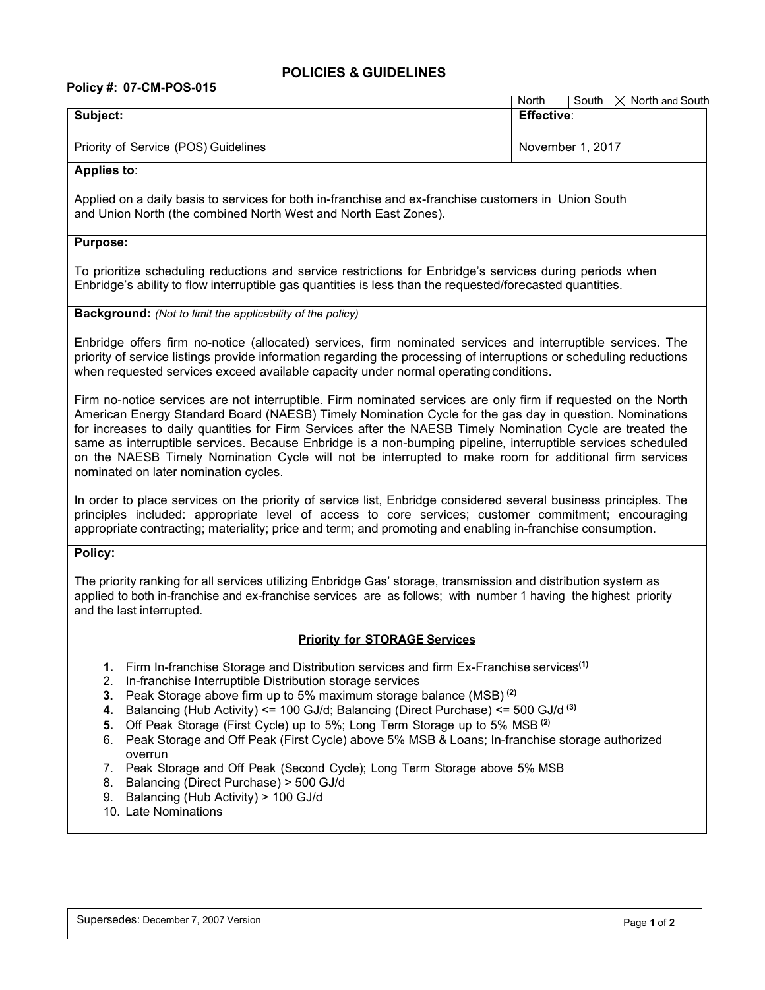## **POLICIES & GUIDELINES**

# **Policy #: 07-CM-POS-015**

| POIICY #: 07-CM-POS-015                                                                                                                                                                                                                                                                                                                                                                                                                                                                                                                                                                                     | North $\Box$ South $\Box$ North and South |
|-------------------------------------------------------------------------------------------------------------------------------------------------------------------------------------------------------------------------------------------------------------------------------------------------------------------------------------------------------------------------------------------------------------------------------------------------------------------------------------------------------------------------------------------------------------------------------------------------------------|-------------------------------------------|
| Subject:                                                                                                                                                                                                                                                                                                                                                                                                                                                                                                                                                                                                    | <b>Effective:</b>                         |
| Priority of Service (POS) Guidelines                                                                                                                                                                                                                                                                                                                                                                                                                                                                                                                                                                        | November 1, 2017                          |
| <b>Applies to:</b>                                                                                                                                                                                                                                                                                                                                                                                                                                                                                                                                                                                          |                                           |
| Applied on a daily basis to services for both in-franchise and ex-franchise customers in Union South<br>and Union North (the combined North West and North East Zones).                                                                                                                                                                                                                                                                                                                                                                                                                                     |                                           |
| <b>Purpose:</b>                                                                                                                                                                                                                                                                                                                                                                                                                                                                                                                                                                                             |                                           |
| To prioritize scheduling reductions and service restrictions for Enbridge's services during periods when<br>Enbridge's ability to flow interruptible gas quantities is less than the requested/forecasted quantities.                                                                                                                                                                                                                                                                                                                                                                                       |                                           |
| <b>Background:</b> (Not to limit the applicability of the policy)                                                                                                                                                                                                                                                                                                                                                                                                                                                                                                                                           |                                           |
| Enbridge offers firm no-notice (allocated) services, firm nominated services and interruptible services. The<br>priority of service listings provide information regarding the processing of interruptions or scheduling reductions<br>when requested services exceed available capacity under normal operating conditions.                                                                                                                                                                                                                                                                                 |                                           |
| Firm no-notice services are not interruptible. Firm nominated services are only firm if requested on the North<br>American Energy Standard Board (NAESB) Timely Nomination Cycle for the gas day in question. Nominations<br>for increases to daily quantities for Firm Services after the NAESB Timely Nomination Cycle are treated the<br>same as interruptible services. Because Enbridge is a non-bumping pipeline, interruptible services scheduled<br>on the NAESB Timely Nomination Cycle will not be interrupted to make room for additional firm services<br>nominated on later nomination cycles. |                                           |
| In order to place services on the priority of service list, Enbridge considered several business principles. The<br>principles included: appropriate level of access to core services; customer commitment; encouraging<br>appropriate contracting; materiality; price and term; and promoting and enabling in-franchise consumption.                                                                                                                                                                                                                                                                       |                                           |
| Policy:                                                                                                                                                                                                                                                                                                                                                                                                                                                                                                                                                                                                     |                                           |
| The priority ranking for all services utilizing Enbridge Gas' storage, transmission and distribution system as<br>applied to both in-franchise and ex-franchise services are as follows; with number 1 having the highest priority<br>and the last interrupted.                                                                                                                                                                                                                                                                                                                                             |                                           |
| <b>Priority for STORAGE Services</b>                                                                                                                                                                                                                                                                                                                                                                                                                                                                                                                                                                        |                                           |
| 1. Firm In-franchise Storage and Distribution services and firm Ex-Franchise services <sup>(1)</sup><br>In-franchise Interruptible Distribution storage services<br>2.<br>Peak Storage above firm up to 5% maximum storage balance (MSB) <sup>(2)</sup><br>3.<br>Balancing (Hub Activity) <= 100 GJ/d; Balancing (Direct Purchase) <= 500 GJ/d <sup>(3)</sup><br>4.<br>Off Peak Storage (First Cycle) up to 5%; Long Term Storage up to 5% MSB <sup>(2)</sup><br>5.<br>Dook Storage and Off Dook (Firet Cuale) above 5% MSD & Loope; In franchise storage outborized                                        |                                           |

- 6. Peak Storage and Off Peak (First Cycle) above 5% MSB & Loans; In-franchise storage authorized overrun
- 7. Peak Storage and Off Peak (Second Cycle); Long Term Storage above 5% MSB
- 8. Balancing (Direct Purchase) > 500 GJ/d
- 9. Balancing (Hub Activity) > 100 GJ/d
- 10. Late Nominations